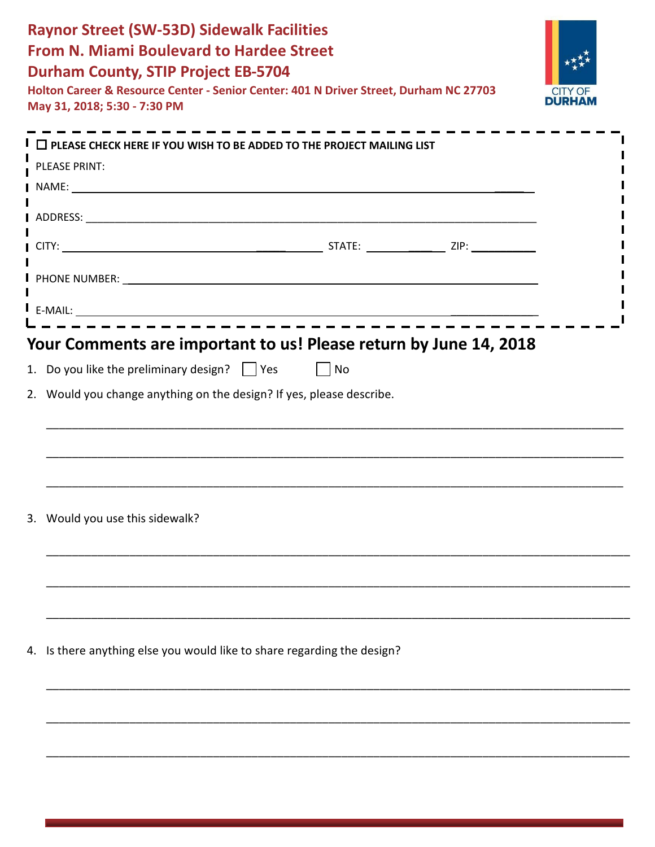| <b>Raynor Street (SW-53D) Sidewalk Facilities</b><br><b>From N. Miami Boulevard to Hardee Street</b><br><b>Durham County, STIP Project EB-5704</b><br>Holton Career & Resource Center - Senior Center: 401 N Driver Street, Durham NC 27703<br>May 31, 2018; 5:30 - 7:30 PM |  |  |  |
|-----------------------------------------------------------------------------------------------------------------------------------------------------------------------------------------------------------------------------------------------------------------------------|--|--|--|
| $\mathsf{I} \ \Box$ PLEASE CHECK HERE IF YOU WISH TO BE ADDED TO THE PROJECT MAILING LIST                                                                                                                                                                                   |  |  |  |
| PLEASE PRINT:                                                                                                                                                                                                                                                               |  |  |  |
|                                                                                                                                                                                                                                                                             |  |  |  |
|                                                                                                                                                                                                                                                                             |  |  |  |
| I PHONE NUMBER: The contract of the contract of the contract of the contract of the contract of the contract of the contract of the contract of the contract of the contract of the contract of the contract of the contract o                                              |  |  |  |
|                                                                                                                                                                                                                                                                             |  |  |  |
|                                                                                                                                                                                                                                                                             |  |  |  |
| 3. Would you use this sidewalk?                                                                                                                                                                                                                                             |  |  |  |
|                                                                                                                                                                                                                                                                             |  |  |  |
| 4. Is there anything else you would like to share regarding the design?                                                                                                                                                                                                     |  |  |  |
|                                                                                                                                                                                                                                                                             |  |  |  |
|                                                                                                                                                                                                                                                                             |  |  |  |
|                                                                                                                                                                                                                                                                             |  |  |  |